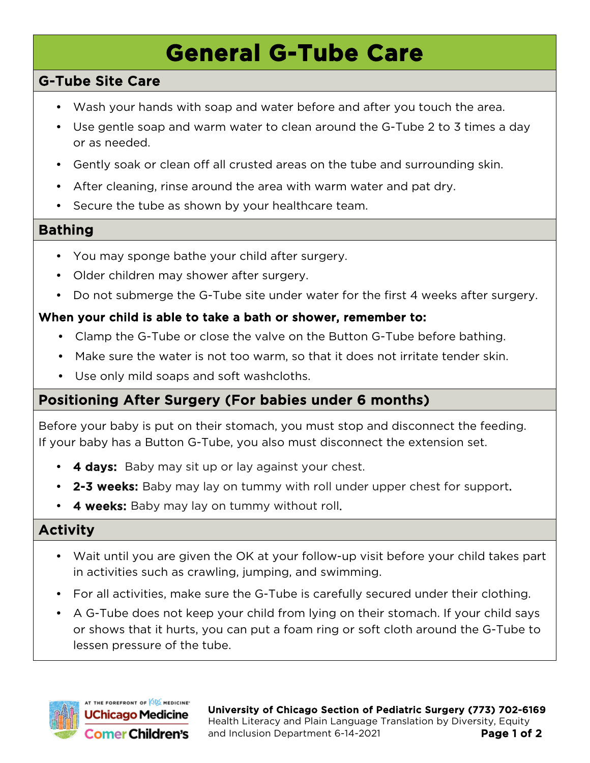# **General G-Tube Care**

## G-Tube Site Care

- Wash your hands with soap and water before and after you touch the area.
- Use gentle soap and warm water to clean around the G-Tube 2 to 3 times a day or as needed.
- Gently soak or clean off all crusted areas on the tube and surrounding skin.
- After cleaning, rinse around the area with warm water and pat dry.
- Secure the tube as shown by your healthcare team.

### Bathing

- You may sponge bathe your child after surgery.
- Older children may shower after surgery.
- Do not submerge the G-Tube site under water for the first 4 weeks after surgery.

### When your child is able to take a bath or shower, remember to:

- Clamp the G-Tube or close the valve on the Button G-Tube before bathing.
- Make sure the water is not too warm, so that it does not irritate tender skin.
- Use only mild soaps and soft washcloths.

## Positioning After Surgery (For babies under 6 months)

Before your baby is put on their stomach, you must stop and disconnect the feeding. If your baby has a Button G-Tube, you also must disconnect the extension set.

- 4 days: Baby may sit up or lay against your chest.
- 2-3 weeks: Baby may lay on tummy with roll under upper chest for support.
- 4 weeks: Baby may lay on tummy without roll.

### Activity

- Wait until you are given the OK at your follow-up visit before your child takes part in activities such as crawling, jumping, and swimming.
- For all activities, make sure the G-Tube is carefully secured under their clothing.
- A G-Tube does not keep your child from lying on their stomach. If your child says or shows that it hurts, you can put a foam ring or soft cloth around the G-Tube to lessen pressure of the tube.